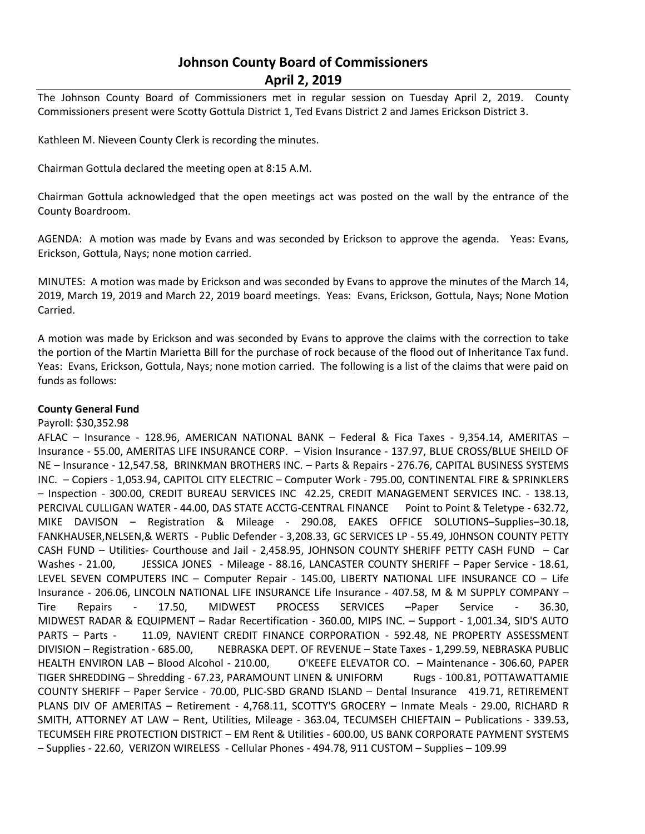# **Johnson County Board of Commissioners April 2, 2019**

The Johnson County Board of Commissioners met in regular session on Tuesday April 2, 2019. County Commissioners present were Scotty Gottula District 1, Ted Evans District 2 and James Erickson District 3.

Kathleen M. Nieveen County Clerk is recording the minutes.

Chairman Gottula declared the meeting open at 8:15 A.M.

Chairman Gottula acknowledged that the open meetings act was posted on the wall by the entrance of the County Boardroom.

AGENDA: A motion was made by Evans and was seconded by Erickson to approve the agenda. Yeas: Evans, Erickson, Gottula, Nays; none motion carried.

MINUTES: A motion was made by Erickson and was seconded by Evans to approve the minutes of the March 14, 2019, March 19, 2019 and March 22, 2019 board meetings. Yeas: Evans, Erickson, Gottula, Nays; None Motion Carried.

A motion was made by Erickson and was seconded by Evans to approve the claims with the correction to take the portion of the Martin Marietta Bill for the purchase of rock because of the flood out of Inheritance Tax fund. Yeas: Evans, Erickson, Gottula, Nays; none motion carried. The following is a list of the claims that were paid on funds as follows:

### **County General Fund**

Payroll: \$30,352.98

AFLAC – Insurance - 128.96, AMERICAN NATIONAL BANK – Federal & Fica Taxes - 9,354.14, AMERITAS – Insurance - 55.00, AMERITAS LIFE INSURANCE CORP. – Vision Insurance - 137.97, BLUE CROSS/BLUE SHEILD OF NE – Insurance - 12,547.58, BRINKMAN BROTHERS INC. – Parts & Repairs - 276.76, CAPITAL BUSINESS SYSTEMS INC. – Copiers - 1,053.94, CAPITOL CITY ELECTRIC – Computer Work - 795.00, CONTINENTAL FIRE & SPRINKLERS – Inspection - 300.00, CREDIT BUREAU SERVICES INC 42.25, CREDIT MANAGEMENT SERVICES INC. - 138.13, PERCIVAL CULLIGAN WATER - 44.00, DAS STATE ACCTG-CENTRAL FINANCE Point to Point & Teletype - 632.72, MIKE DAVISON – Registration & Mileage - 290.08, EAKES OFFICE SOLUTIONS–Supplies–30.18, FANKHAUSER,NELSEN,& WERTS - Public Defender - 3,208.33, GC SERVICES LP - 55.49, J0HNSON COUNTY PETTY CASH FUND – Utilities- Courthouse and Jail - 2,458.95, JOHNSON COUNTY SHERIFF PETTY CASH FUND – Car Washes - 21.00, JESSICA JONES - Mileage - 88.16, LANCASTER COUNTY SHERIFF - Paper Service - 18.61, LEVEL SEVEN COMPUTERS INC – Computer Repair - 145.00, LIBERTY NATIONAL LIFE INSURANCE CO – Life Insurance - 206.06, LINCOLN NATIONAL LIFE INSURANCE Life Insurance - 407.58, M & M SUPPLY COMPANY – Tire Repairs - 17.50, MIDWEST PROCESS SERVICES –Paper Service - 36.30, MIDWEST RADAR & EQUIPMENT – Radar Recertification - 360.00, MIPS INC. – Support - 1,001.34, SID'S AUTO PARTS - Parts - 11.09, NAVIENT CREDIT FINANCE CORPORATION - 592.48, NE PROPERTY ASSESSMENT DIVISION – Registration - 685.00, NEBRASKA DEPT. OF REVENUE – State Taxes - 1,299.59, NEBRASKA PUBLIC HEALTH ENVIRON LAB – Blood Alcohol - 210.00, O'KEEFE ELEVATOR CO. – Maintenance - 306.60, PAPER TIGER SHREDDING – Shredding - 67.23, PARAMOUNT LINEN & UNIFORM Rugs - 100.81, POTTAWATTAMIE COUNTY SHERIFF – Paper Service - 70.00, PLIC-SBD GRAND ISLAND – Dental Insurance 419.71, RETIREMENT PLANS DIV OF AMERITAS – Retirement - 4,768.11, SCOTTY'S GROCERY – Inmate Meals - 29.00, RICHARD R SMITH, ATTORNEY AT LAW – Rent, Utilities, Mileage - 363.04, TECUMSEH CHIEFTAIN – Publications - 339.53, TECUMSEH FIRE PROTECTION DISTRICT – EM Rent & Utilities - 600.00, US BANK CORPORATE PAYMENT SYSTEMS – Supplies - 22.60, VERIZON WIRELESS - Cellular Phones - 494.78, 911 CUSTOM – Supplies – 109.99